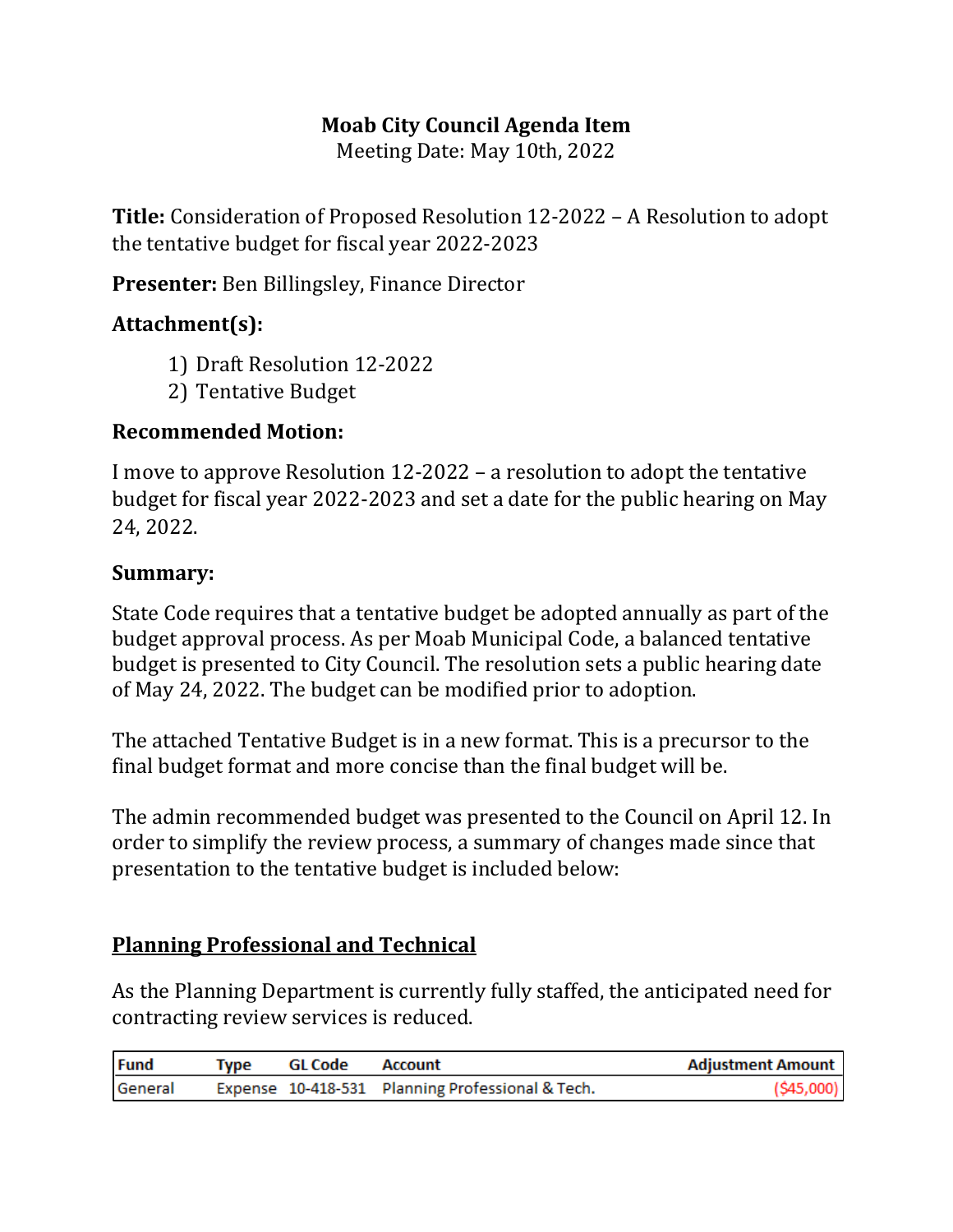# **Moab City Council Agenda Item**

Meeting Date: May 10th, 2022

**Title:** Consideration of Proposed Resolution 12-2022 – A Resolution to adopt the tentative budget for fiscal year 2022-2023

**Presenter:** Ben Billingsley, Finance Director

## **Attachment(s):**

- 1) Draft Resolution 12-2022
- 2) Tentative Budget

## **Recommended Motion:**

I move to approve Resolution 12-2022 – a resolution to adopt the tentative budget for fiscal year 2022-2023 and set a date for the public hearing on May 24, 2022.

## **Summary:**

State Code requires that a tentative budget be adopted annually as part of the budget approval process. As per Moab Municipal Code, a balanced tentative budget is presented to City Council. The resolution sets a public hearing date of May 24, 2022. The budget can be modified prior to adoption.

The attached Tentative Budget is in a new format. This is a precursor to the final budget format and more concise than the final budget will be.

The admin recommended budget was presented to the Council on April 12. In order to simplify the review process, a summary of changes made since that presentation to the tentative budget is included below:

## **Planning Professional and Technical**

As the Planning Department is currently fully staffed, the anticipated need for contracting review services is reduced.

| <b>Fund</b> | Type GL Code Account |                                                  | <b>Adjustment Amount</b> |
|-------------|----------------------|--------------------------------------------------|--------------------------|
| General     |                      | Expense 10-418-531 Planning Professional & Tech. | $($ \$45,000)            |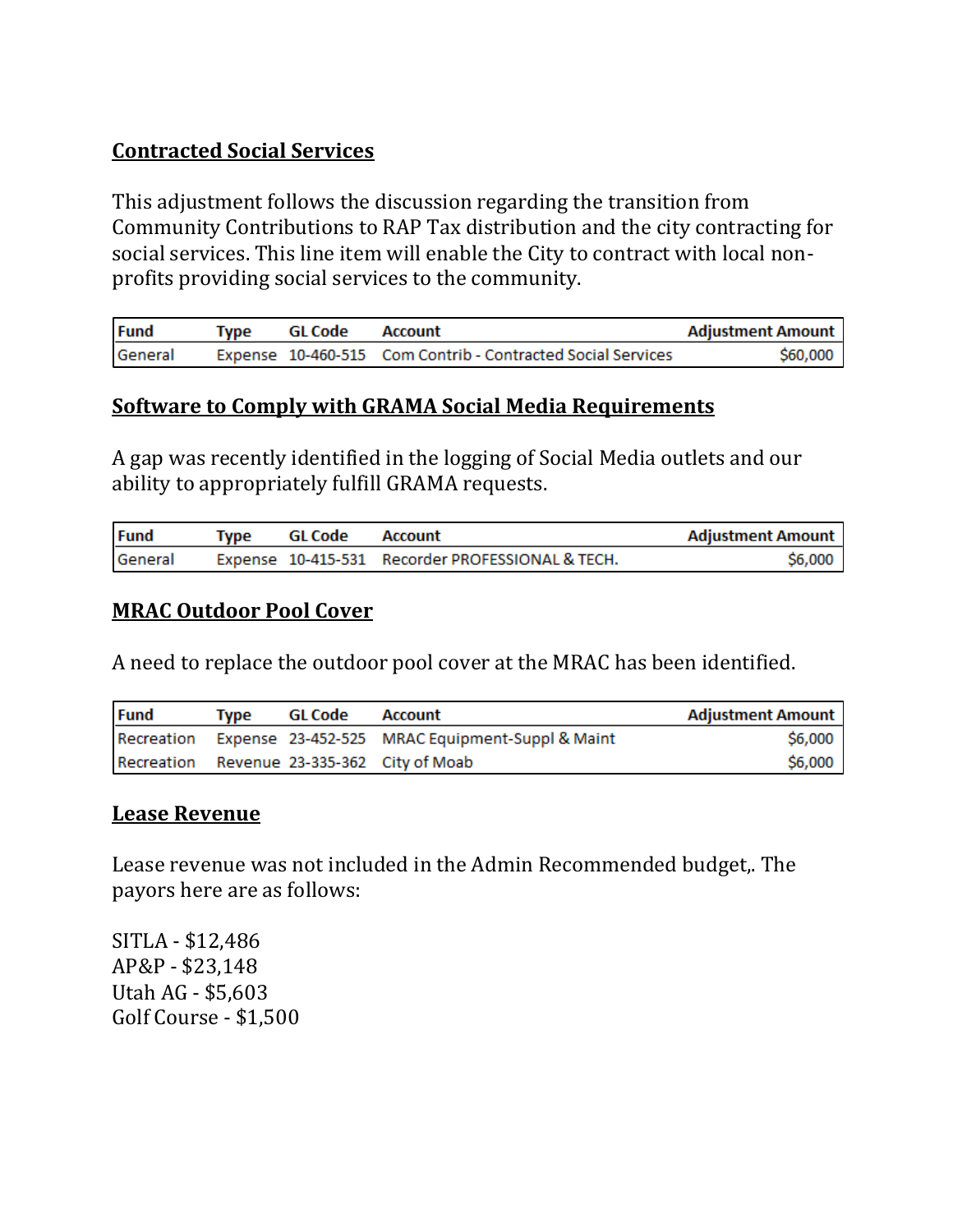# **Contracted Social Services**

This adjustment follows the discussion regarding the transition from Community Contributions to RAP Tax distribution and the city contracting for social services. This line item will enable the City to contract with local nonprofits providing social services to the community.

| <b>Fund</b> | Type | GL Code | Account                                                     | <b>Adjustment Amount</b> |
|-------------|------|---------|-------------------------------------------------------------|--------------------------|
| General     |      |         | Expense 10-460-515 Com Contrib - Contracted Social Services | S60,000                  |

### **Software to Comply with GRAMA Social Media Requirements**

A gap was recently identified in the logging of Social Media outlets and our ability to appropriately fulfill GRAMA requests.

| <b>Fund</b> | Tvpe | GL Code | Account                                          | Adjustment Amount |
|-------------|------|---------|--------------------------------------------------|-------------------|
| General     |      |         | Expense 10-415-531 Recorder PROFESSIONAL & TECH. | \$6,000           |

#### **MRAC Outdoor Pool Cover**

A need to replace the outdoor pool cover at the MRAC has been identified.

| <b>Fund</b> | Tvpe | GL Code | Account                                                    | Adjustment Amount |
|-------------|------|---------|------------------------------------------------------------|-------------------|
|             |      |         | Recreation Expense 23-452-525 MRAC Equipment-Suppl & Maint | \$6,000           |
|             |      |         | Recreation Revenue 23-335-362 City of Moab                 | \$6,000           |

#### **Lease Revenue**

Lease revenue was not included in the Admin Recommended budget,. The payors here are as follows:

SITLA - \$12,486 AP&P - \$23,148 Utah AG - \$5,603 Golf Course - \$1,500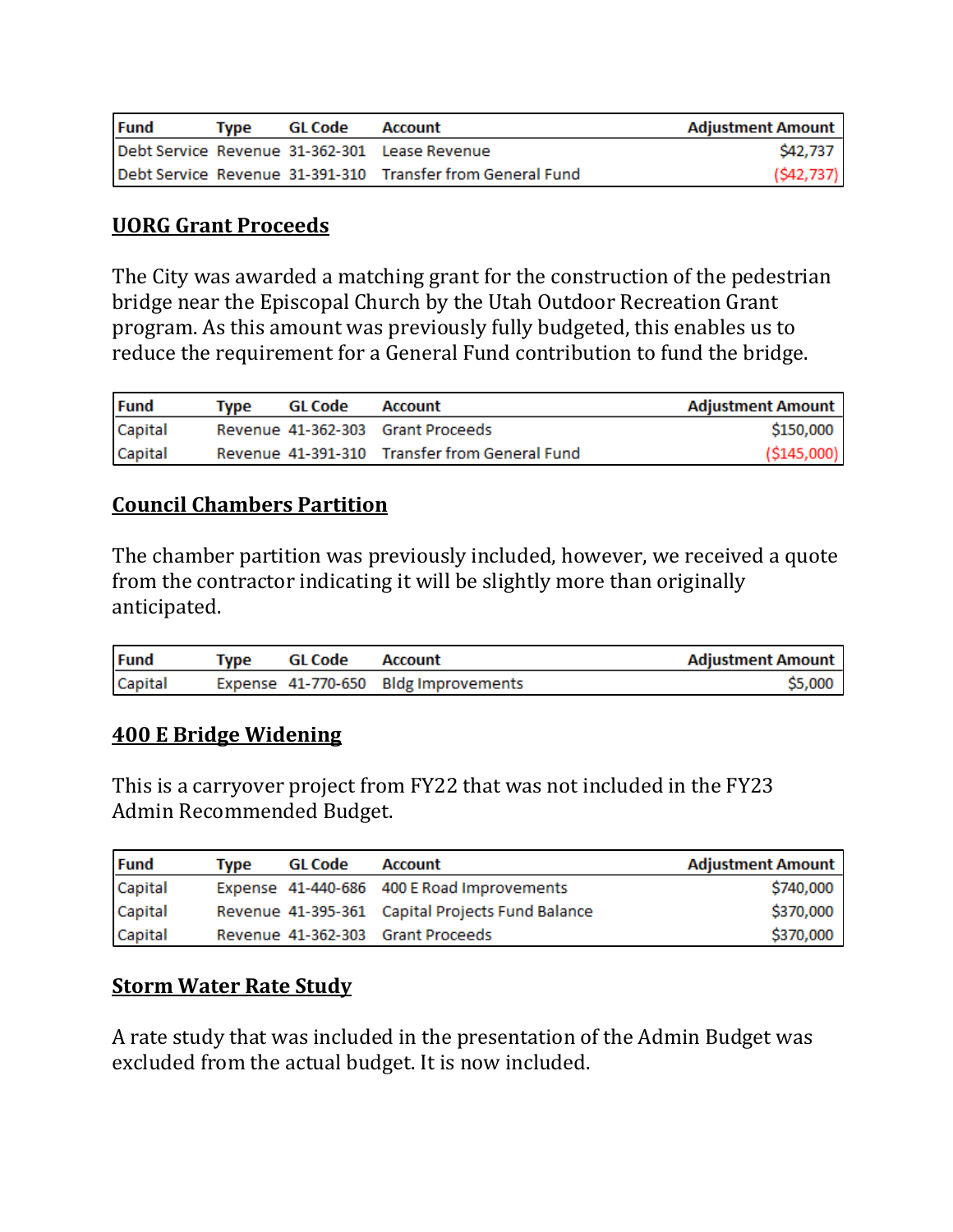| <b>Fund</b> | Tvpe | GL Code | Account                                                    | <b>Adjustment Amount</b> |
|-------------|------|---------|------------------------------------------------------------|--------------------------|
|             |      |         | Debt Service Revenue 31-362-301 Lease Revenue              | S42.737                  |
|             |      |         | Debt Service Revenue 31-391-310 Transfer from General Fund | (S42, 737)               |

## **UORG Grant Proceeds**

The City was awarded a matching grant for the construction of the pedestrian bridge near the Episcopal Church by the Utah Outdoor Recreation Grant program. As this amount was previously fully budgeted, this enables us to reduce the requirement for a General Fund contribution to fund the bridge.

| <b>Fund</b> | Tvne | GL Code | Account                                       | Adjustment Amount |
|-------------|------|---------|-----------------------------------------------|-------------------|
| Capital     |      |         | Revenue 41-362-303 Grant Proceeds             | \$150,000         |
| Capital     |      |         | Revenue 41-391-310 Transfer from General Fund | ( \$145,000)      |

## **Council Chambers Partition**

The chamber partition was previously included, however, we received a quote from the contractor indicating it will be slightly more than originally anticipated.

| <b>Fund</b> | Tvpe | GL Code | Account                              | <b>Adjustment Amount</b> |
|-------------|------|---------|--------------------------------------|--------------------------|
| Capital     |      |         | Expense 41-770-650 Bldg Improvements | \$5,000                  |

### **400 E Bridge Widening**

This is a carryover project from FY22 that was not included in the FY23 Admin Recommended Budget.

| <b>Fund</b> | Type | GL Code | Account                                          | <b>Adjustment Amount</b> |
|-------------|------|---------|--------------------------------------------------|--------------------------|
| Capital     |      |         | Expense 41-440-686 400 E Road Improvements       | \$740,000                |
| Capital     |      |         | Revenue 41-395-361 Capital Projects Fund Balance | \$370,000                |
| Capital     |      |         | Revenue 41-362-303 Grant Proceeds                | \$370,000                |

## **Storm Water Rate Study**

A rate study that was included in the presentation of the Admin Budget was excluded from the actual budget. It is now included.